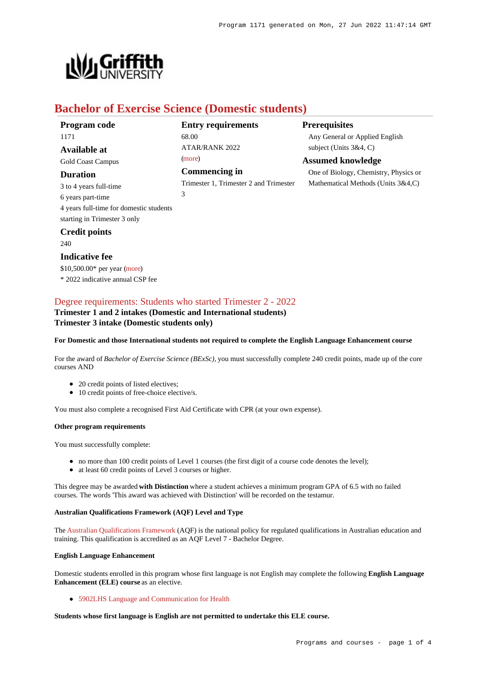

# **Bachelor of Exercise Science (Domestic students)**

| <b>Program</b> code                     | <b>Entry requirements</b>              | Prer |
|-----------------------------------------|----------------------------------------|------|
| 1171                                    | 68.00                                  | Any  |
| Available at                            | <b>ATAR/RANK 2022</b>                  | subj |
| <b>Gold Coast Campus</b>                | (more)                                 | Assu |
| Duration                                | Commencing in                          | One  |
| 3 to 4 years full-time                  | Trimester 1, Trimester 2 and Trimester | Mat  |
| 6 years part-time                       | 3                                      |      |
| 4 years full-time for domestic students |                                        |      |
| starting in Trimester 3 only            |                                        |      |
| <b>Credit points</b>                    |                                        |      |
| 240                                     |                                        |      |
|                                         |                                        |      |

## **Prerequisites**

General or Applied English  $\text{ject}$  (Units  $3&4, C$ )

## **Assumed knowledge**

of Biology, Chemistry, Physics or hematical Methods (Units 3&4,C)

## [Degree requirements: Students who started Trimester 2 - 2022](https://www148.griffith.edu.au/programs-courses/Program/1171/Courses/Domestic#degree-requirements)

**Trimester 1 and 2 intakes (Domestic and International students) Trimester 3 intake (Domestic students only)**

### **For Domestic and those International students not required to complete the English Language Enhancement course**

For the award of *Bachelor of Exercise Science (BExSc),* you must successfully complete 240 credit points, made up of the core courses AND

- 20 credit points of listed electives;
- 10 credit points of free-choice elective/s.

You must also complete a recognised First Aid Certificate with CPR (at your own expense).

### **Other program requirements**

**Indicative fee**

\$10,500.00\* per year [\(more](https://www148.griffith.edu.au/programs-courses/Program/1171/Overview/Domestic#fees)) \* 2022 indicative annual CSP fee

You must successfully complete:

- no more than 100 credit points of Level 1 courses (the first digit of a course code denotes the level);
- at least 60 credit points of Level 3 courses or higher.

This degree may be awarded **with Distinction** where a student achieves a minimum program GPA of 6.5 with no failed courses. The words 'This award was achieved with Distinction' will be recorded on the testamur.

#### **Australian Qualifications Framework (AQF) Level and Type**

The [Australian Qualifications Framework](http://www.aqf.edu.au/) (AQF) is the national policy for regulated qualifications in Australian education and training. This qualification is accredited as an AQF Level 7 - Bachelor Degree.

#### **English Language Enhancement**

Domestic students enrolled in this program whose first language is not English may complete the following **English Language Enhancement (ELE) course** as an elective.

[5902LHS Language and Communication for Health](https://www148.griffith.edu.au/Course/5902LHS)

**Students whose first language is English are not permitted to undertake this ELE course.**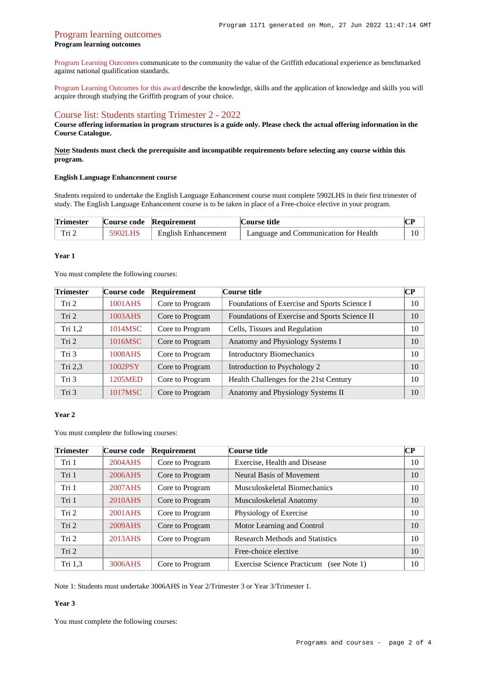## Program learning outcomes **Program learning outcomes**

[Program Learning Outcomes](https://www.griffith.edu.au/__data/assets/pdf_file/0017/134522/PLO-general-advice.pdf) communicate to the community the value of the Griffith educational experience as benchmarked against national qualification standards.

[Program Learning Outcomes for this award](https://www.griffith.edu.au/__data/assets/pdf_file/0027/295623/BExercise-Science-PLO-L7.pdf) describe the knowledge, skills and the application of knowledge and skills you will acquire through studying the Griffith program of your choice.

## [Course list: Students starting Trimester 2 - 2022](https://www148.griffith.edu.au/programs-courses/Program/1171/Courses/Domestic#course-list-content)

**Course offering information in program structures is a guide only. Please check the actual offering information in the Course Catalogue.**

## **Note: Students must check the prerequisite and incompatible requirements before selecting any course within this program.**

### **English Language Enhancement course**

Students required to undertake the English Language Enhancement course must complete 5902LHS in their first trimester of study. The English Language Enhancement course is to be taken in place of a Free-choice elective in your program.

| <b>Trimester</b> |         | Course code Requirement    | <b>Course title</b>                   |    |
|------------------|---------|----------------------------|---------------------------------------|----|
| Tri 2            | 5902LHS | <b>English Enhancement</b> | Language and Communication for Health | 10 |

#### **Year 1**

You must complete the following courses:

| <b>Trimester</b> | Course code | Requirement     | <b>Course title</b>                           | <b>CP</b> |
|------------------|-------------|-----------------|-----------------------------------------------|-----------|
| Tri 2            | 1001AHS     | Core to Program | Foundations of Exercise and Sports Science I  | 10        |
| Tri <sub>2</sub> | 1003AHS     | Core to Program | Foundations of Exercise and Sports Science II | 10        |
| Tri $1,2$        | 1014MSC     | Core to Program | Cells, Tissues and Regulation                 | 10        |
| Tri 2            | 1016MSC     | Core to Program | Anatomy and Physiology Systems I              | 10        |
| Tri 3            | 1008AHS     | Core to Program | <b>Introductory Biomechanics</b>              | 10        |
| Tri $2,3$        | 1002PSY     | Core to Program | Introduction to Psychology 2                  | 10        |
| Tri 3            | 1205MED     | Core to Program | Health Challenges for the 21st Century        | 10        |
| Tri 3            | 1017MSC     | Core to Program | Anatomy and Physiology Systems II             | 10        |

### **Year 2**

You must complete the following courses:

| <b>Trimester</b> | Course code | Requirement     | Course title                                         | CР |
|------------------|-------------|-----------------|------------------------------------------------------|----|
| Tri 1            | 2004AHS     | Core to Program | Exercise, Health and Disease                         | 10 |
| Tri 1            | 2006AHS     | Core to Program | Neural Basis of Movement                             | 10 |
| Tri 1            | 2007AHS     | Core to Program | Musculoskeletal Biomechanics                         | 10 |
| Tri 1            | 2010AHS     | Core to Program | Musculoskeletal Anatomy                              | 10 |
| Tri 2            | 2001AHS     | Core to Program | Physiology of Exercise                               | 10 |
| Tri 2            | 2009AHS     | Core to Program | Motor Learning and Control                           | 10 |
| Tri 2            | 2013AHS     | Core to Program | <b>Research Methods and Statistics</b>               | 10 |
| Tri 2            |             |                 | Free-choice elective                                 | 10 |
| Tri 1,3          | 3006AHS     | Core to Program | <b>Exercise Science Practicum</b><br>(see Note $1$ ) | 10 |

Note 1: Students must undertake 3006AHS in Year 2/Trimester 3 or Year 3/Trimester 1.

## **Year 3**

You must complete the following courses: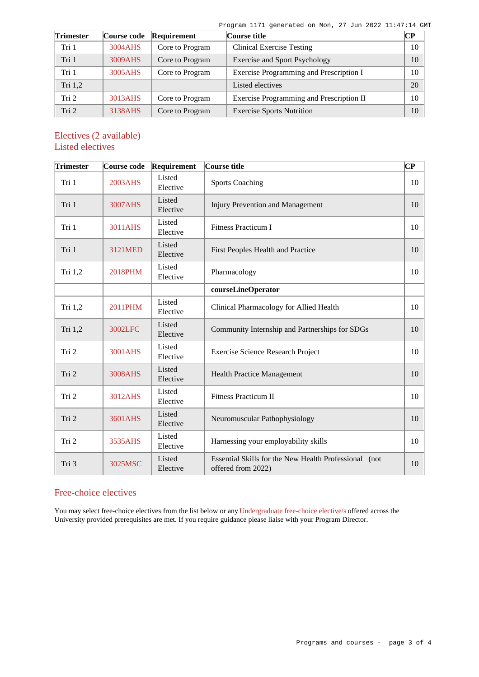Program 1171 generated on Mon, 27 Jun 2022 11:47:14 GMT

| <b>Trimester</b> | <b>Course code</b> | Requirement     | Course title                             | CР |
|------------------|--------------------|-----------------|------------------------------------------|----|
| Tri 1            | 3004AHS            | Core to Program | <b>Clinical Exercise Testing</b>         | 10 |
| Tri 1            | 3009AHS            | Core to Program | <b>Exercise and Sport Psychology</b>     | 10 |
| Tri 1            | 3005AHS            | Core to Program | Exercise Programming and Prescription I  | 10 |
| Tri 1,2          |                    |                 | Listed electives                         | 20 |
| Tri 2            | 3013AHS            | Core to Program | Exercise Programming and Prescription II | 10 |
| Tri 2            | 3138AHS            | Core to Program | <b>Exercise Sports Nutrition</b>         | 10 |

# Electives (2 available) Listed electives

| <b>Trimester</b> | Course code | Requirement        | Course title                                                                | $\bf CP$ |
|------------------|-------------|--------------------|-----------------------------------------------------------------------------|----------|
| Tri 1            | 2003AHS     | Listed<br>Elective | <b>Sports Coaching</b>                                                      | 10       |
| Tri 1            | 3007AHS     | Listed<br>Elective | <b>Injury Prevention and Management</b>                                     | 10       |
| Tri 1            | 3011AHS     | Listed<br>Elective | <b>Fitness Practicum I</b>                                                  | 10       |
| Tri 1            | 3121MED     | Listed<br>Elective | First Peoples Health and Practice                                           | 10       |
| Tri 1,2          | 2018PHM     | Listed<br>Elective | Pharmacology                                                                | 10       |
|                  |             |                    | courseLineOperator                                                          |          |
| Tri 1,2          | 2011PHM     | Listed<br>Elective | Clinical Pharmacology for Allied Health                                     | 10       |
| Tri 1,2          | 3002LFC     | Listed<br>Elective | Community Internship and Partnerships for SDGs                              | 10       |
| Tri 2            | 3001AHS     | Listed<br>Elective | Exercise Science Research Project                                           | 10       |
| Tri 2            | 3008AHS     | Listed<br>Elective | <b>Health Practice Management</b>                                           | 10       |
| Tri 2            | 3012AHS     | Listed<br>Elective | <b>Fitness Practicum II</b>                                                 | 10       |
| Tri 2            | 3601AHS     | Listed<br>Elective | Neuromuscular Pathophysiology                                               | 10       |
| Tri 2            | 3535AHS     | Listed<br>Elective | Harnessing your employability skills                                        | 10       |
| Tri 3            | 3025MSC     | Listed<br>Elective | Essential Skills for the New Health Professional (not<br>offered from 2022) | 10       |

# Free-choice electives

You may select free-choice electives from the list below or any [Undergraduate free-choice elective/s](https://www148.griffith.edu.au/programs-courses/Search/Results?SearchRequestType=CourseCatalogue&AcademicCareerName=UGRD&IsFreeChoiceElective=True) offered across the University provided prerequisites are met. If you require guidance please liaise with your Program Director.